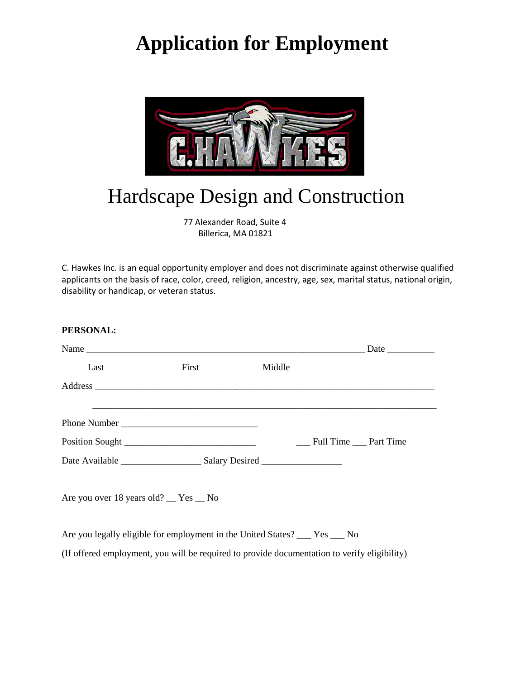# **Application for Employment**



# Hardscape Design and Construction

 77 Alexander Road, Suite 4 Billerica, MA 01821

C. Hawkes Inc. is an equal opportunity employer and does not discriminate against otherwise qualified applicants on the basis of race, color, creed, religion, ancestry, age, sex, marital status, national origin, disability or handicap, or veteran status.

## **PERSONAL:**

| Last                                                                                         | First | Middle |                     |  |
|----------------------------------------------------------------------------------------------|-------|--------|---------------------|--|
|                                                                                              |       |        |                     |  |
|                                                                                              |       |        |                     |  |
|                                                                                              |       |        |                     |  |
|                                                                                              |       |        | Full Time Part Time |  |
|                                                                                              |       |        |                     |  |
| Are you over 18 years old? __ Yes __ No                                                      |       |        |                     |  |
| Are you legally eligible for employment in the United States? ___ Yes ___ No                 |       |        |                     |  |
| (If offered employment, you will be required to provide documentation to verify eligibility) |       |        |                     |  |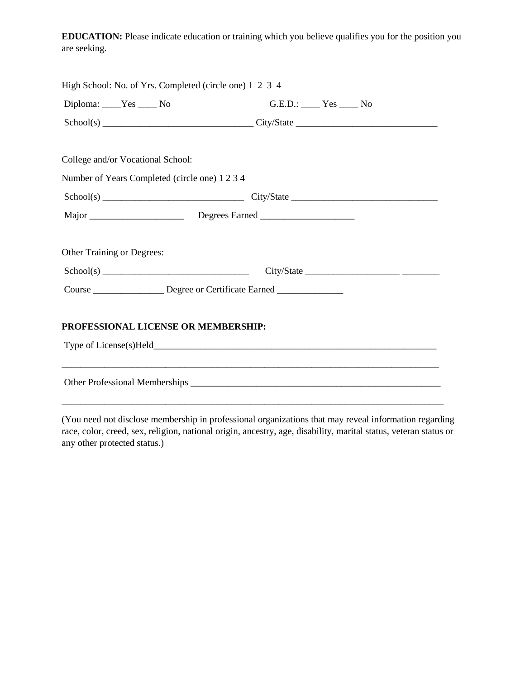**EDUCATION:** Please indicate education or training which you believe qualifies you for the position you are seeking.

| High School: No. of Yrs. Completed (circle one) 1 2 3 4                             |                                                                                                                       |
|-------------------------------------------------------------------------------------|-----------------------------------------------------------------------------------------------------------------------|
| Diploma: ____Yes _____ No                                                           | $G.E.D.:$ Yes $\_\_$ No                                                                                               |
|                                                                                     | $Sthool(s)$ $City/State$ $City/State$ $City-State$ $CitySet$                                                          |
| College and/or Vocational School:<br>Number of Years Completed (circle one) 1 2 3 4 |                                                                                                                       |
|                                                                                     | $School(s)$ $City/State$ $City/State$                                                                                 |
|                                                                                     |                                                                                                                       |
| <b>Other Training or Degrees:</b>                                                   |                                                                                                                       |
|                                                                                     |                                                                                                                       |
| Course ___________________ Degree or Certificate Earned _________________           |                                                                                                                       |
| PROFESSIONAL LICENSE OR MEMBERSHIP:                                                 |                                                                                                                       |
|                                                                                     | <u> 1989 - Johann Barn, mars et al. 1989 - Anna ann an Carl an Carl ann an t-an ann an t-an an t-an ann an t-an a</u> |
|                                                                                     |                                                                                                                       |
|                                                                                     |                                                                                                                       |

(You need not disclose membership in professional organizations that may reveal information regarding race, color, creed, sex, religion, national origin, ancestry, age, disability, marital status, veteran status or any other protected status.)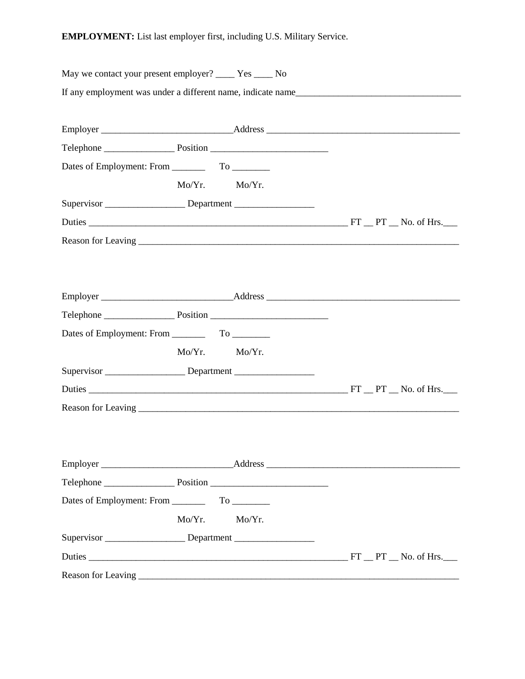**EMPLOYMENT:** List last employer first, including U.S. Military Service.

| May we contact your present employer? ______ Yes _____ No                        |        |        |  |
|----------------------------------------------------------------------------------|--------|--------|--|
| If any employment was under a different name, indicate name                      |        |        |  |
|                                                                                  |        |        |  |
|                                                                                  |        |        |  |
|                                                                                  |        |        |  |
|                                                                                  |        |        |  |
|                                                                                  | Mo/Yr. | Mo/Yr. |  |
| Supervisor _______________________Department ___________________________________ |        |        |  |
|                                                                                  |        |        |  |
|                                                                                  |        |        |  |
|                                                                                  |        |        |  |
|                                                                                  |        |        |  |
|                                                                                  |        |        |  |
|                                                                                  |        |        |  |
| Dates of Employment: From ________                                               |        |        |  |
|                                                                                  | Mo/Yr. | Mo/Yr. |  |
| Supervisor __________________________Department ________________________________ |        |        |  |
|                                                                                  |        |        |  |
|                                                                                  |        |        |  |
|                                                                                  |        |        |  |
|                                                                                  |        |        |  |
|                                                                                  |        |        |  |
|                                                                                  |        |        |  |
|                                                                                  |        |        |  |
|                                                                                  | Mo/Yr. | Mo/Yr. |  |
|                                                                                  |        |        |  |
|                                                                                  |        |        |  |
|                                                                                  |        |        |  |
|                                                                                  |        |        |  |